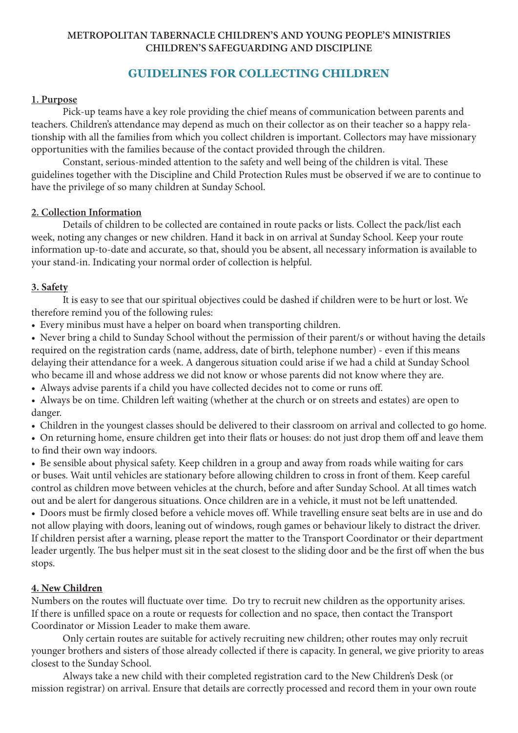#### **METROPOLITAN TABERNACLE CHILDREN'S AND YOUNG PEOPLE'S MINISTRIES CHILDREN'S SAFEGUARDING AND DISCIPLINE**

# **GUIDELINES FOR COLLECTING CHILDREN**

#### **1. Purpose**

Pick-up teams have a key role providing the chief means of communication between parents and teachers. Children's attendance may depend as much on their collector as on their teacher so a happy relationship with all the families from which you collect children is important. Collectors may have missionary opportunities with the families because of the contact provided through the children.

Constant, serious-minded attention to the safety and well being of the children is vital. These guidelines together with the Discipline and Child Protection Rules must be observed if we are to continue to have the privilege of so many children at Sunday School.

#### **2. Collection Information**

Details of children to be collected are contained in route packs or lists. Collect the pack/list each week, noting any changes or new children. Hand it back in on arrival at Sunday School. Keep your route information up-to-date and accurate, so that, should you be absent, all necessary information is available to your stand-in. Indicating your normal order of collection is helpful.

#### **3. Safety**

It is easy to see that our spiritual objectives could be dashed if children were to be hurt or lost. We therefore remind you of the following rules:

• Every minibus must have a helper on board when transporting children.

- Never bring a child to Sunday School without the permission of their parent/s or without having the details required on the registration cards (name, address, date of birth, telephone number) - even if this means delaying their attendance for a week. A dangerous situation could arise if we had a child at Sunday School who became ill and whose address we did not know or whose parents did not know where they are.
- Always advise parents if a child you have collected decides not to come or runs off.
- Always be on time. Children left waiting (whether at the church or on streets and estates) are open to danger.
- Children in the youngest classes should be delivered to their classroom on arrival and collected to go home.

• On returning home, ensure children get into their flats or houses: do not just drop them off and leave them to find their own way indoors.

• Be sensible about physical safety. Keep children in a group and away from roads while waiting for cars or buses. Wait until vehicles are stationary before allowing children to cross in front of them. Keep careful control as children move between vehicles at the church, before and after Sunday School. At all times watch out and be alert for dangerous situations. Once children are in a vehicle, it must not be left unattended.

• Doors must be firmly closed before a vehicle moves off. While travelling ensure seat belts are in use and do not allow playing with doors, leaning out of windows, rough games or behaviour likely to distract the driver. If children persist after a warning, please report the matter to the Transport Coordinator or their department leader urgently. The bus helper must sit in the seat closest to the sliding door and be the first off when the bus stops.

#### **4. New Children**

Numbers on the routes will fluctuate over time. Do try to recruit new children as the opportunity arises. If there is unfilled space on a route or requests for collection and no space, then contact the Transport Coordinator or Mission Leader to make them aware.

 Only certain routes are suitable for actively recruiting new children; other routes may only recruit younger brothers and sisters of those already collected if there is capacity. In general, we give priority to areas closest to the Sunday School.

Always take a new child with their completed registration card to the New Children's Desk (or mission registrar) on arrival. Ensure that details are correctly processed and record them in your own route